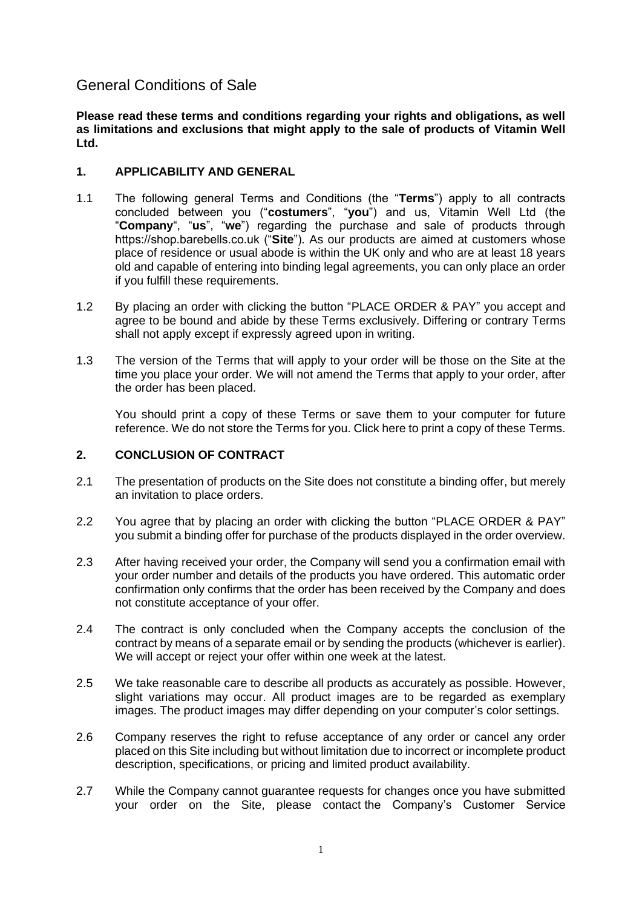# General Conditions of Sale

**Please read these terms and conditions regarding your rights and obligations, as well as limitations and exclusions that might apply to the sale of products of Vitamin Well Ltd.**

# **1. APPLICABILITY AND GENERAL**

- 1.1 The following general Terms and Conditions (the "**Terms**") apply to all contracts concluded between you ("**costumers**", "**you**") and us, Vitamin Well Ltd (the "**Company**", "**us**", "**we**") regarding the purchase and sale of products through https://shop.barebells.co.uk ("**Site**"). As our products are aimed at customers whose place of residence or usual abode is within the UK only and who are at least 18 years old and capable of entering into binding legal agreements, you can only place an order if you fulfill these requirements.
- 1.2 By placing an order with clicking the button "PLACE ORDER & PAY" you accept and agree to be bound and abide by these Terms exclusively. Differing or contrary Terms shall not apply except if expressly agreed upon in writing.
- 1.3 The version of the Terms that will apply to your order will be those on the Site at the time you place your order. We will not amend the Terms that apply to your order, after the order has been placed.

You should print a copy of these Terms or save them to your computer for future reference. We do not store the Terms for you. Click here to print a copy of these Terms.

# **2. CONCLUSION OF CONTRACT**

- 2.1 The presentation of products on the Site does not constitute a binding offer, but merely an invitation to place orders.
- 2.2 You agree that by placing an order with clicking the button "PLACE ORDER & PAY" you submit a binding offer for purchase of the products displayed in the order overview.
- 2.3 After having received your order, the Company will send you a confirmation email with your order number and details of the products you have ordered. This automatic order confirmation only confirms that the order has been received by the Company and does not constitute acceptance of your offer.
- 2.4 The contract is only concluded when the Company accepts the conclusion of the contract by means of a separate email or by sending the products (whichever is earlier). We will accept or reject your offer within one week at the latest.
- 2.5 We take reasonable care to describe all products as accurately as possible. However, slight variations may occur. All product images are to be regarded as exemplary images. The product images may differ depending on your computer's color settings.
- 2.6 Company reserves the right to refuse acceptance of any order or cancel any order placed on this Site including but without limitation due to incorrect or incomplete product description, specifications, or pricing and limited product availability.
- 2.7 While the Company cannot guarantee requests for changes once you have submitted your order on the Site, please contact the Company's Customer Service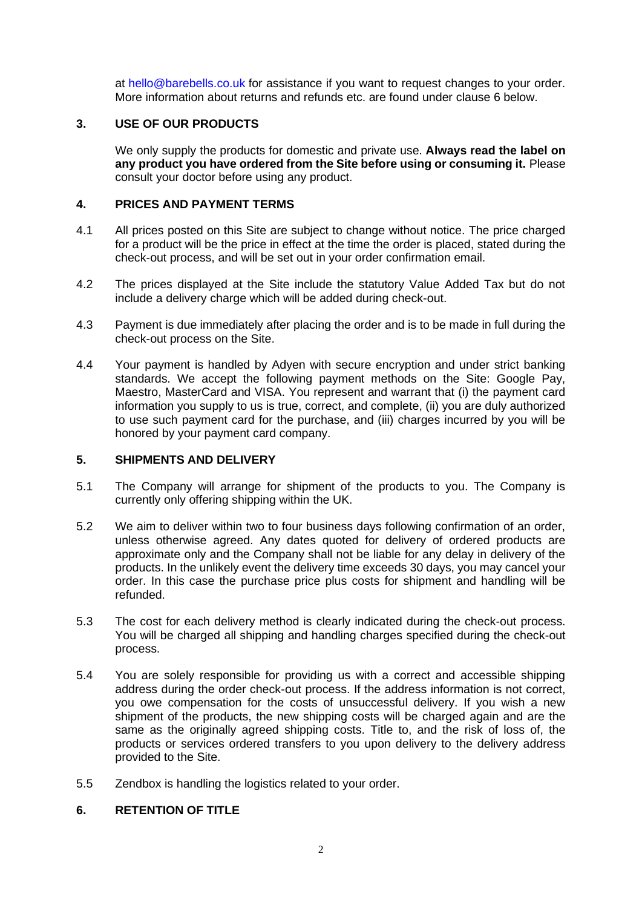at [hello@barebells.co.uk](mailto:hello@barebells.co.uk) for assistance if you want to request changes to your order. More information about returns and refunds etc. are found under clause [6](#page-1-0) below.

## **3. USE OF OUR PRODUCTS**

We only supply the products for domestic and private use. **Always read the label on any product you have ordered from the Site before using or consuming it.** Please consult your doctor before using any product.

## **4. PRICES AND PAYMENT TERMS**

- 4.1 All prices posted on this Site are subject to change without notice. The price charged for a product will be the price in effect at the time the order is placed, stated during the check-out process, and will be set out in your order confirmation email.
- 4.2 The prices displayed at the Site include the statutory Value Added Tax but do not include a delivery charge which will be added during check-out.
- 4.3 Payment is due immediately after placing the order and is to be made in full during the check-out process on the Site.
- 4.4 Your payment is handled by Adyen with secure encryption and under strict banking standards. We accept the following payment methods on the Site: Google Pay, Maestro, MasterCard and VISA. You represent and warrant that (i) the payment card information you supply to us is true, correct, and complete, (ii) you are duly authorized to use such payment card for the purchase, and (iii) charges incurred by you will be honored by your payment card company.

#### **5. SHIPMENTS AND DELIVERY**

- 5.1 The Company will arrange for shipment of the products to you. The Company is currently only offering shipping within the UK.
- 5.2 We aim to deliver within two to four business days following confirmation of an order, unless otherwise agreed. Any dates quoted for delivery of ordered products are approximate only and the Company shall not be liable for any delay in delivery of the products. In the unlikely event the delivery time exceeds 30 days, you may cancel your order. In this case the purchase price plus costs for shipment and handling will be refunded.
- 5.3 The cost for each delivery method is clearly indicated during the check-out process. You will be charged all shipping and handling charges specified during the check-out process.
- 5.4 You are solely responsible for providing us with a correct and accessible shipping address during the order check-out process. If the address information is not correct, you owe compensation for the costs of unsuccessful delivery. If you wish a new shipment of the products, the new shipping costs will be charged again and are the same as the originally agreed shipping costs. Title to, and the risk of loss of, the products or services ordered transfers to you upon delivery to the delivery address provided to the Site.
- 5.5 Zendbox is handling the logistics related to your order.

# <span id="page-1-0"></span>**6. RETENTION OF TITLE**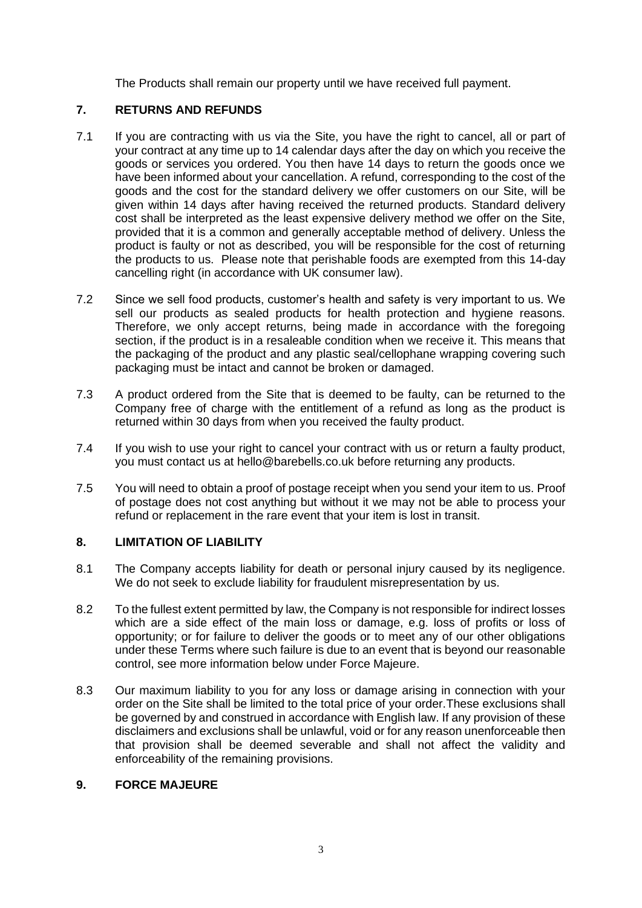The Products shall remain our property until we have received full payment.

# **7. RETURNS AND REFUNDS**

- 7.1 If you are contracting with us via the Site, you have the right to cancel, all or part of your contract at any time up to 14 calendar days after the day on which you receive the goods or services you ordered. You then have 14 days to return the goods once we have been informed about your cancellation. A refund, corresponding to the cost of the goods and the cost for the standard delivery we offer customers on our Site, will be given within 14 days after having received the returned products. Standard delivery cost shall be interpreted as the least expensive delivery method we offer on the Site, provided that it is a common and generally acceptable method of delivery. Unless the product is faulty or not as described, you will be responsible for the cost of returning the products to us. Please note that perishable foods are exempted from this 14-day cancelling right (in accordance with UK consumer law).
- 7.2 Since we sell food products, customer's health and safety is very important to us. We sell our products as sealed products for health protection and hygiene reasons. Therefore, we only accept returns, being made in accordance with the foregoing section, if the product is in a resaleable condition when we receive it. This means that the packaging of the product and any plastic seal/cellophane wrapping covering such packaging must be intact and cannot be broken or damaged.
- 7.3 A product ordered from the Site that is deemed to be faulty, can be returned to the Company free of charge with the entitlement of a refund as long as the product is returned within 30 days from when you received the faulty product.
- 7.4 If you wish to use your right to cancel your contract with us or return a faulty product, you must contact us at hello@barebells.co.uk before returning any products.
- 7.5 You will need to obtain a proof of postage receipt when you send your item to us. Proof of postage does not cost anything but without it we may not be able to process your refund or replacement in the rare event that your item is lost in transit.

#### **8. LIMITATION OF LIABILITY**

- 8.1 The Company accepts liability for death or personal injury caused by its negligence. We do not seek to exclude liability for fraudulent misrepresentation by us.
- 8.2 To the fullest extent permitted by law, the Company is not responsible for indirect losses which are a side effect of the main loss or damage, e.g. loss of profits or loss of opportunity; or for failure to deliver the goods or to meet any of our other obligations under these Terms where such failure is due to an event that is beyond our reasonable control, see more information below under Force Majeure.
- 8.3 Our maximum liability to you for any loss or damage arising in connection with your order on the Site shall be limited to the total price of your order.These exclusions shall be governed by and construed in accordance with English law. If any provision of these disclaimers and exclusions shall be unlawful, void or for any reason unenforceable then that provision shall be deemed severable and shall not affect the validity and enforceability of the remaining provisions.

## **9. FORCE MAJEURE**